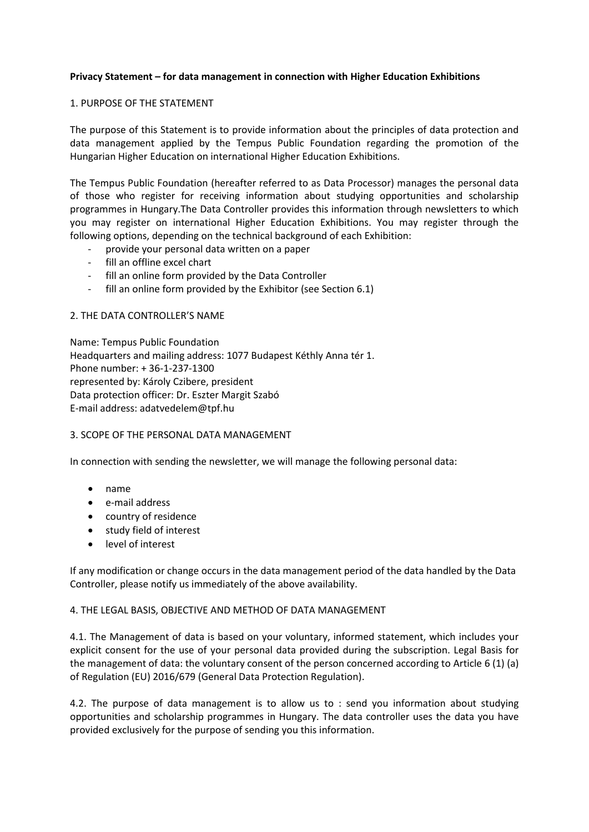## **Privacy Statement – for data management in connection with Higher Education Exhibitions**

## 1. PURPOSE OF THE STATEMENT

The purpose of this Statement is to provide information about the principles of data protection and data management applied by the Tempus Public Foundation regarding the promotion of the Hungarian Higher Education on international Higher Education Exhibitions.

The Tempus Public Foundation (hereafter referred to as Data Processor) manages the personal data of those who register for receiving information about studying opportunities and scholarship programmes in Hungary.The Data Controller provides this information through newsletters to which you may register on international Higher Education Exhibitions. You may register through the following options, depending on the technical background of each Exhibition:

- provide your personal data written on a paper
- fill an offline excel chart
- fill an online form provided by the Data Controller
- fill an online form provided by the Exhibitor (see Section 6.1)

### 2. THE DATA CONTROLLER'S NAME

Name: Tempus Public Foundation Headquarters and mailing address: 1077 Budapest Kéthly Anna tér 1. Phone number: + 36-1-237-1300 represented by: Károly Czibere, president Data protection officer: Dr. Eszter Margit Szabó E-mail address: adatvedelem@tpf.hu

## 3. SCOPE OF THE PERSONAL DATA MANAGEMENT

In connection with sending the newsletter, we will manage the following personal data:

- name
- e-mail address
- country of residence
- study field of interest
- level of interest

If any modification or change occurs in the data management period of the data handled by the Data Controller, please notify us immediately of the above availability.

#### 4. THE LEGAL BASIS, OBJECTIVE AND METHOD OF DATA MANAGEMENT

4.1. The Management of data is based on your voluntary, informed statement, which includes your explicit consent for the use of your personal data provided during the subscription. Legal Basis for the management of data: the voluntary consent of the person concerned according to Article 6 (1) (a) of Regulation (EU) 2016/679 (General Data Protection Regulation).

4.2. The purpose of data management is to allow us to : send you information about studying opportunities and scholarship programmes in Hungary. The data controller uses the data you have provided exclusively for the purpose of sending you this information.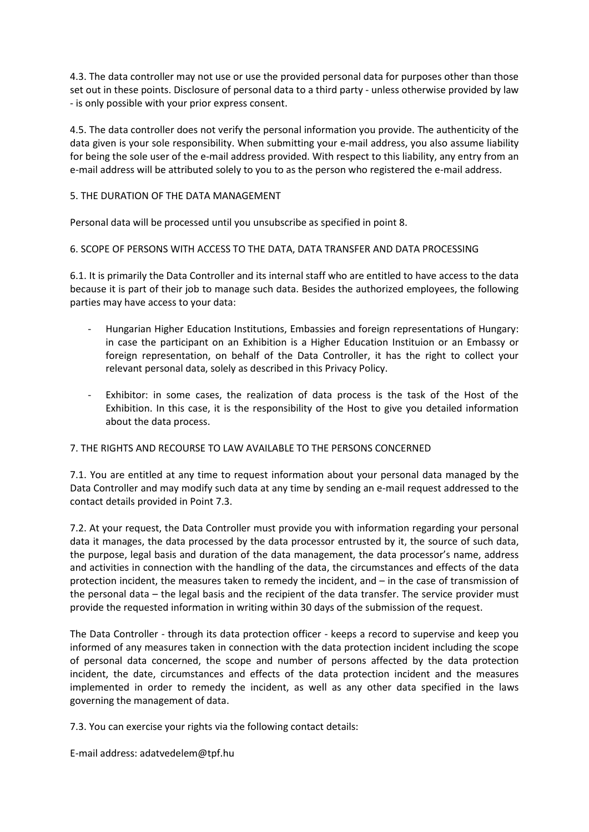4.3. The data controller may not use or use the provided personal data for purposes other than those set out in these points. Disclosure of personal data to a third party - unless otherwise provided by law - is only possible with your prior express consent.

4.5. The data controller does not verify the personal information you provide. The authenticity of the data given is your sole responsibility. When submitting your e-mail address, you also assume liability for being the sole user of the e-mail address provided. With respect to this liability, any entry from an e-mail address will be attributed solely to you to as the person who registered the e-mail address.

# 5. THE DURATION OF THE DATA MANAGEMENT

Personal data will be processed until you unsubscribe as specified in point 8.

# 6. SCOPE OF PERSONS WITH ACCESS TO THE DATA, DATA TRANSFER AND DATA PROCESSING

6.1. It is primarily the Data Controller and its internal staff who are entitled to have access to the data because it is part of their job to manage such data. Besides the authorized employees, the following parties may have access to your data:

- Hungarian Higher Education Institutions, Embassies and foreign representations of Hungary: in case the participant on an Exhibition is a Higher Education Instituion or an Embassy or foreign representation, on behalf of the Data Controller, it has the right to collect your relevant personal data, solely as described in this Privacy Policy.
- Exhibitor: in some cases, the realization of data process is the task of the Host of the Exhibition. In this case, it is the responsibility of the Host to give you detailed information about the data process.

## 7. THE RIGHTS AND RECOURSE TO LAW AVAILABLE TO THE PERSONS CONCERNED

7.1. You are entitled at any time to request information about your personal data managed by the Data Controller and may modify such data at any time by sending an e-mail request addressed to the contact details provided in Point 7.3.

7.2. At your request, the Data Controller must provide you with information regarding your personal data it manages, the data processed by the data processor entrusted by it, the source of such data, the purpose, legal basis and duration of the data management, the data processor's name, address and activities in connection with the handling of the data, the circumstances and effects of the data protection incident, the measures taken to remedy the incident, and – in the case of transmission of the personal data – the legal basis and the recipient of the data transfer. The service provider must provide the requested information in writing within 30 days of the submission of the request.

The Data Controller - through its data protection officer - keeps a record to supervise and keep you informed of any measures taken in connection with the data protection incident including the scope of personal data concerned, the scope and number of persons affected by the data protection incident, the date, circumstances and effects of the data protection incident and the measures implemented in order to remedy the incident, as well as any other data specified in the laws governing the management of data.

7.3. You can exercise your rights via the following contact details:

E-mail address: adatvedelem@tpf.hu